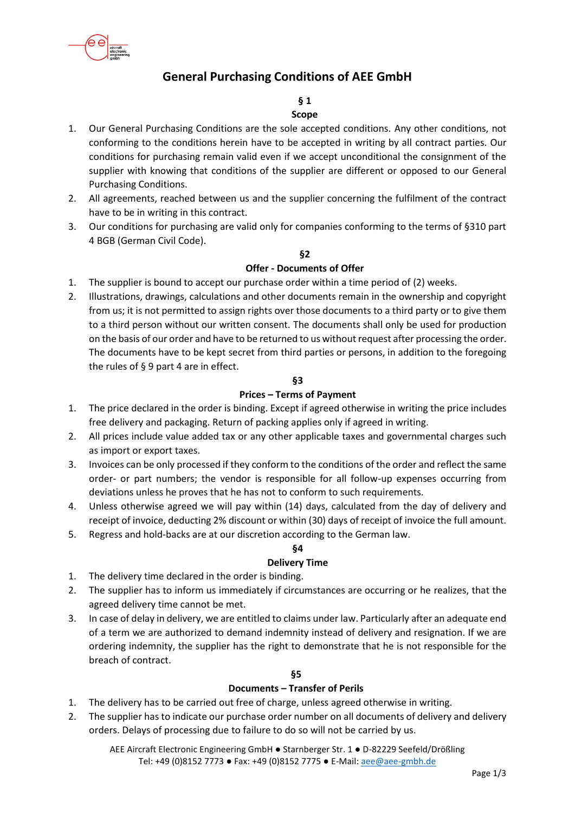

# **General Purchasing Conditions of AEE GmbH**

# **§ 1**

- **Scope**
- 1. Our General Purchasing Conditions are the sole accepted conditions. Any other conditions, not conforming to the conditions herein have to be accepted in writing by all contract parties. Our conditions for purchasing remain valid even if we accept unconditional the consignment of the supplier with knowing that conditions of the supplier are different or opposed to our General Purchasing Conditions.
- 2. All agreements, reached between us and the supplier concerning the fulfilment of the contract have to be in writing in this contract.
- 3. Our conditions for purchasing are valid only for companies conforming to the terms of §310 part 4 BGB (German Civil Code).

# **§2**

### **Offer - Documents of Offer**

- 1. The supplier is bound to accept our purchase order within a time period of (2) weeks.
- 2. Illustrations, drawings, calculations and other documents remain in the ownership and copyright from us; it is not permitted to assign rights over those documents to a third party or to give them to a third person without our written consent. The documents shall only be used for production on the basis of our order and have to be returned to us without request after processing the order. The documents have to be kept secret from third parties or persons, in addition to the foregoing the rules of § 9 part 4 are in effect.

## **§3**

### **Prices – Terms of Payment**

- 1. The price declared in the order is binding. Except if agreed otherwise in writing the price includes free delivery and packaging. Return of packing applies only if agreed in writing.
- 2. All prices include value added tax or any other applicable taxes and governmental charges such as import or export taxes.
- 3. Invoices can be only processed if they conform to the conditions of the order and reflect the same order- or part numbers; the vendor is responsible for all follow-up expenses occurring from deviations unless he proves that he has not to conform to such requirements.
- 4. Unless otherwise agreed we will pay within (14) days, calculated from the day of delivery and receipt of invoice, deducting 2% discount or within (30) days of receipt of invoice the full amount.
- 5. Regress and hold-backs are at our discretion according to the German law.

# **§4**

### **Delivery Time**

- 1. The delivery time declared in the order is binding.
- 2. The supplier has to inform us immediately if circumstances are occurring or he realizes, that the agreed delivery time cannot be met.
- 3. In case of delay in delivery, we are entitled to claims under law. Particularly after an adequate end of a term we are authorized to demand indemnity instead of delivery and resignation. If we are ordering indemnity, the supplier has the right to demonstrate that he is not responsible for the breach of contract.

### **§5**

# **Documents – Transfer of Perils**

- 1. The delivery has to be carried out free of charge, unless agreed otherwise in writing.
- 2. The supplier has to indicate our purchase order number on all documents of delivery and delivery orders. Delays of processing due to failure to do so will not be carried by us.

AEE Aircraft Electronic Engineering GmbH ● Starnberger Str. 1 ● D-82229 Seefeld/Drößling Tel: +49 (0)8152 7773 ● Fax: +49 (0)8152 7775 ● E-Mail: [aee@aee-gmbh.de](mailto:aee@aee-gmbh.de)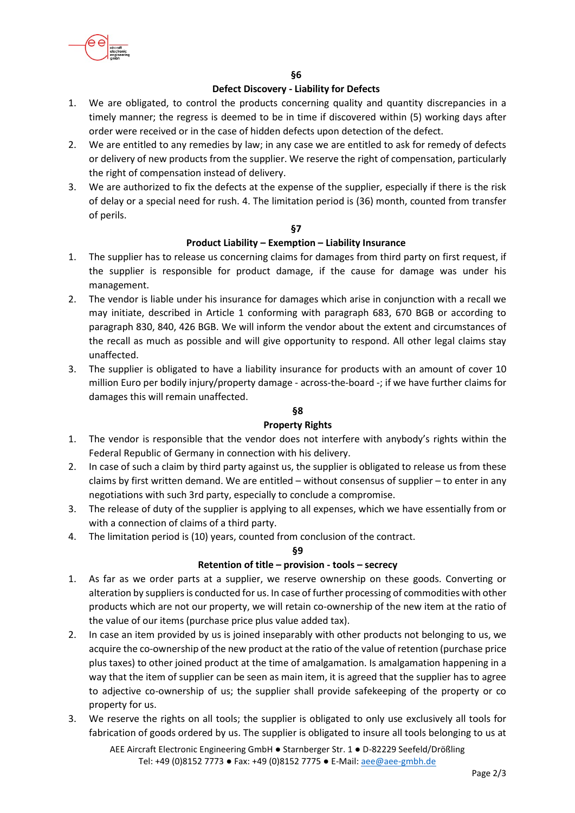

**§6**

# **Defect Discovery - Liability for Defects**

- 1. We are obligated, to control the products concerning quality and quantity discrepancies in a timely manner; the regress is deemed to be in time if discovered within (5) working days after order were received or in the case of hidden defects upon detection of the defect.
- 2. We are entitled to any remedies by law; in any case we are entitled to ask for remedy of defects or delivery of new products from the supplier. We reserve the right of compensation, particularly the right of compensation instead of delivery.
- 3. We are authorized to fix the defects at the expense of the supplier, especially if there is the risk of delay or a special need for rush. 4. The limitation period is (36) month, counted from transfer of perils.

## **§7**

## **Product Liability – Exemption – Liability Insurance**

- 1. The supplier has to release us concerning claims for damages from third party on first request, if the supplier is responsible for product damage, if the cause for damage was under his management.
- 2. The vendor is liable under his insurance for damages which arise in conjunction with a recall we may initiate, described in Article 1 conforming with paragraph 683, 670 BGB or according to paragraph 830, 840, 426 BGB. We will inform the vendor about the extent and circumstances of the recall as much as possible and will give opportunity to respond. All other legal claims stay unaffected.
- 3. The supplier is obligated to have a liability insurance for products with an amount of cover 10 million Euro per bodily injury/property damage - across-the-board -; if we have further claims for damages this will remain unaffected.

# **§8**

### **Property Rights**

- 1. The vendor is responsible that the vendor does not interfere with anybody's rights within the Federal Republic of Germany in connection with his delivery.
- 2. In case of such a claim by third party against us, the supplier is obligated to release us from these claims by first written demand. We are entitled – without consensus of supplier – to enter in any negotiations with such 3rd party, especially to conclude a compromise.
- 3. The release of duty of the supplier is applying to all expenses, which we have essentially from or with a connection of claims of a third party.
- 4. The limitation period is (10) years, counted from conclusion of the contract.

### **§9**

# **Retention of title – provision - tools – secrecy**

- 1. As far as we order parts at a supplier, we reserve ownership on these goods. Converting or alteration by suppliers is conducted for us. In case of further processing of commodities with other products which are not our property, we will retain co-ownership of the new item at the ratio of the value of our items (purchase price plus value added tax).
- 2. In case an item provided by us is joined inseparably with other products not belonging to us, we acquire the co-ownership of the new product at the ratio of the value of retention (purchase price plus taxes) to other joined product at the time of amalgamation. Is amalgamation happening in a way that the item of supplier can be seen as main item, it is agreed that the supplier has to agree to adjective co-ownership of us; the supplier shall provide safekeeping of the property or co property for us.
- 3. We reserve the rights on all tools; the supplier is obligated to only use exclusively all tools for fabrication of goods ordered by us. The supplier is obligated to insure all tools belonging to us at

AEE Aircraft Electronic Engineering GmbH ● Starnberger Str. 1 ● D-82229 Seefeld/Drößling Tel: +49 (0)8152 7773 ● Fax: +49 (0)8152 7775 ● E-Mail: [aee@aee-gmbh.de](mailto:aee@aee-gmbh.de)